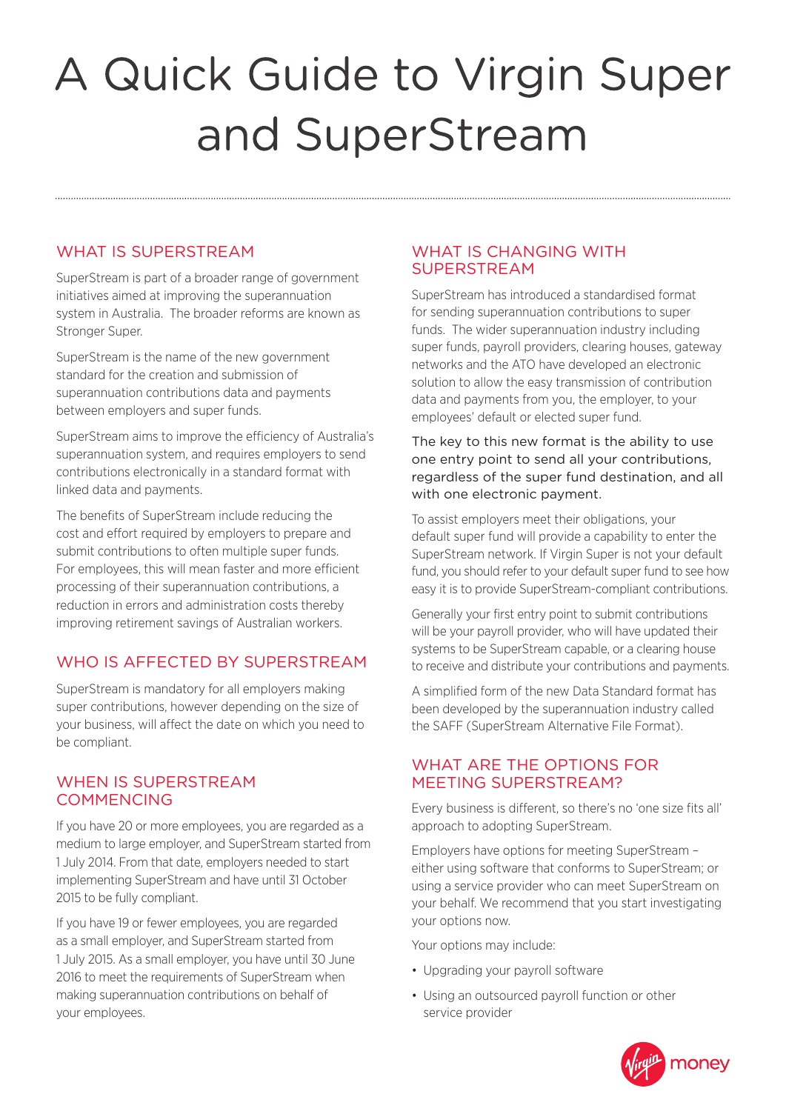# A Quick Guide to Virgin Super and SuperStream

## WHAT IS SUPERSTREAM

SuperStream is part of a broader range of government initiatives aimed at improving the superannuation system in Australia. The broader reforms are known as Stronger Super.

SuperStream is the name of the new government standard for the creation and submission of superannuation contributions data and payments between employers and super funds.

SuperStream aims to improve the efficiency of Australia's superannuation system, and requires employers to send contributions electronically in a standard format with linked data and payments.

The benefits of SuperStream include reducing the cost and effort required by employers to prepare and submit contributions to often multiple super funds. For employees, this will mean faster and more efficient processing of their superannuation contributions, a reduction in errors and administration costs thereby improving retirement savings of Australian workers.

# WHO IS AFFECTED BY SUPERSTREAM

SuperStream is mandatory for all employers making super contributions, however depending on the size of your business, will affect the date on which you need to be compliant.

## WHEN IS SUPERSTREAM **COMMENCING**

If you have 20 or more employees, you are regarded as a medium to large employer, and SuperStream started from 1 July 2014. From that date, employers needed to start implementing SuperStream and have until 31 October 2015 to be fully compliant.

If you have 19 or fewer employees, you are regarded as a small employer, and SuperStream started from 1 July 2015. As a small employer, you have until 30 June 2016 to meet the requirements of SuperStream when making superannuation contributions on behalf of your employees.

## WHAT IS CHANGING WITH SUPERSTREAM

SuperStream has introduced a standardised format for sending superannuation contributions to super funds. The wider superannuation industry including super funds, payroll providers, clearing houses, gateway networks and the ATO have developed an electronic solution to allow the easy transmission of contribution data and payments from you, the employer, to your employees' default or elected super fund.

The key to this new format is the ability to use one entry point to send all your contributions, regardless of the super fund destination, and all with one electronic payment.

To assist employers meet their obligations, your default super fund will provide a capability to enter the SuperStream network. If Virgin Super is not your default fund, you should refer to your default super fund to see how easy it is to provide SuperStream-compliant contributions.

Generally your first entry point to submit contributions will be your payroll provider, who will have updated their systems to be SuperStream capable, or a clearing house to receive and distribute your contributions and payments.

A simplified form of the new Data Standard format has been developed by the superannuation industry called the SAFF (SuperStream Alternative File Format).

## WHAT ARE THE OPTIONS FOR MEETING SUPERSTREAM?

Every business is different, so there's no 'one size fits all' approach to adopting SuperStream.

Employers have options for meeting SuperStream – either using software that conforms to SuperStream; or using a service provider who can meet SuperStream on your behalf. We recommend that you start investigating your options now.

Your options may include:

- Upgrading your payroll software
- Using an outsourced payroll function or other service provider

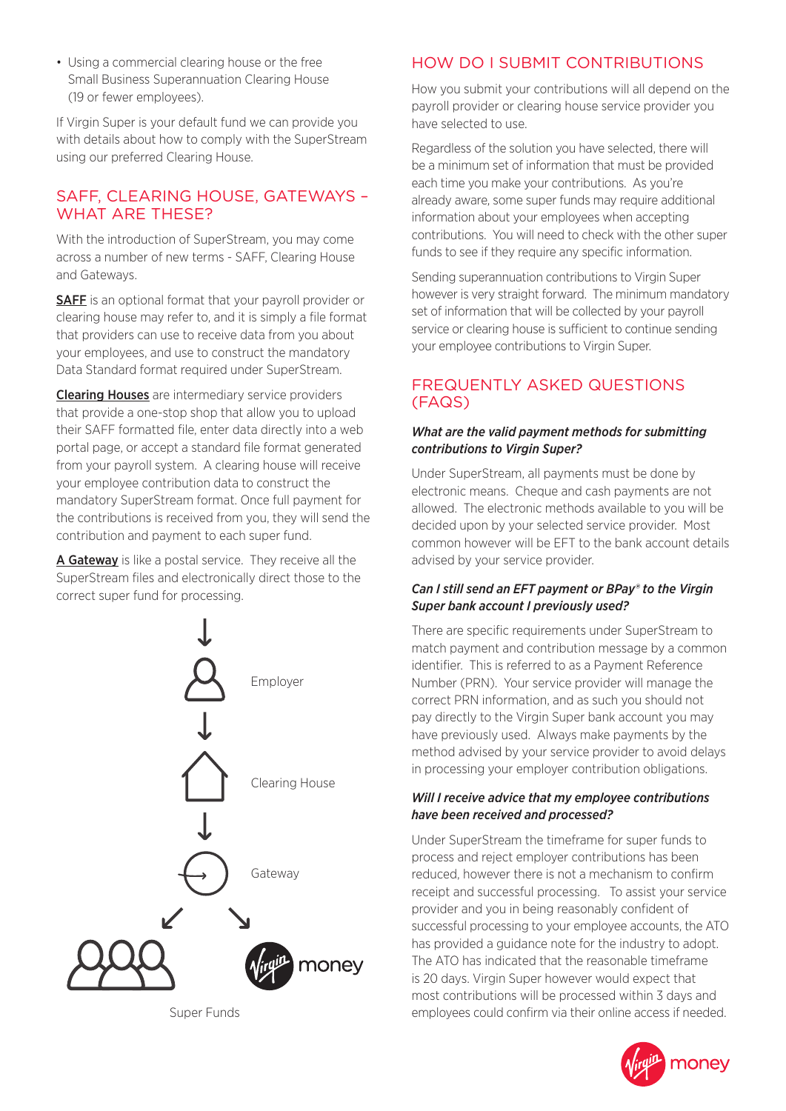• Using a commercial clearing house or the free Small Business Superannuation Clearing House (19 or fewer employees).

If Virgin Super is your default fund we can provide you with details about how to comply with the SuperStream using our preferred Clearing House.

## SAFF, CLEARING HOUSE, GATEWAYS – WHAT ARE THESE?

With the introduction of SuperStream, you may come across a number of new terms - SAFF, Clearing House and Gateways.

SAFF is an optional format that your payroll provider or clearing house may refer to, and it is simply a file format that providers can use to receive data from you about your employees, and use to construct the mandatory Data Standard format required under SuperStream.

**Clearing Houses** are intermediary service providers that provide a one-stop shop that allow you to upload their SAFF formatted file, enter data directly into a web portal page, or accept a standard file format generated from your payroll system. A clearing house will receive your employee contribution data to construct the mandatory SuperStream format. Once full payment for the contributions is received from you, they will send the contribution and payment to each super fund.

A Gateway is like a postal service. They receive all the SuperStream files and electronically direct those to the correct super fund for processing.



Super Funds

## HOW DO I SUBMIT CONTRIBUTIONS

How you submit your contributions will all depend on the payroll provider or clearing house service provider you have selected to use.

Regardless of the solution you have selected, there will be a minimum set of information that must be provided each time you make your contributions. As you're already aware, some super funds may require additional information about your employees when accepting contributions. You will need to check with the other super funds to see if they require any specific information.

Sending superannuation contributions to Virgin Super however is very straight forward. The minimum mandatory set of information that will be collected by your payroll service or clearing house is sufficient to continue sending your employee contributions to Virgin Super.

## FREQUENTLY ASKED QUESTIONS (FAQS)

#### *What are the valid payment methods for submitting contributions to Virgin Super?*

Under SuperStream, all payments must be done by electronic means. Cheque and cash payments are not allowed. The electronic methods available to you will be decided upon by your selected service provider. Most common however will be EFT to the bank account details advised by your service provider.

#### *Can I still send an EFT payment or BPay® to the Virgin Super bank account I previously used?*

There are specific requirements under SuperStream to match payment and contribution message by a common identifier. This is referred to as a Payment Reference Number (PRN). Your service provider will manage the correct PRN information, and as such you should not pay directly to the Virgin Super bank account you may have previously used. Always make payments by the method advised by your service provider to avoid delays in processing your employer contribution obligations.

#### *Will I receive advice that my employee contributions have been received and processed?*

Under SuperStream the timeframe for super funds to process and reject employer contributions has been reduced, however there is not a mechanism to confirm receipt and successful processing. To assist your service provider and you in being reasonably confident of successful processing to your employee accounts, the ATO has provided a guidance note for the industry to adopt. The ATO has indicated that the reasonable timeframe is 20 days. Virgin Super however would expect that most contributions will be processed within 3 days and employees could confirm via their online access if needed.